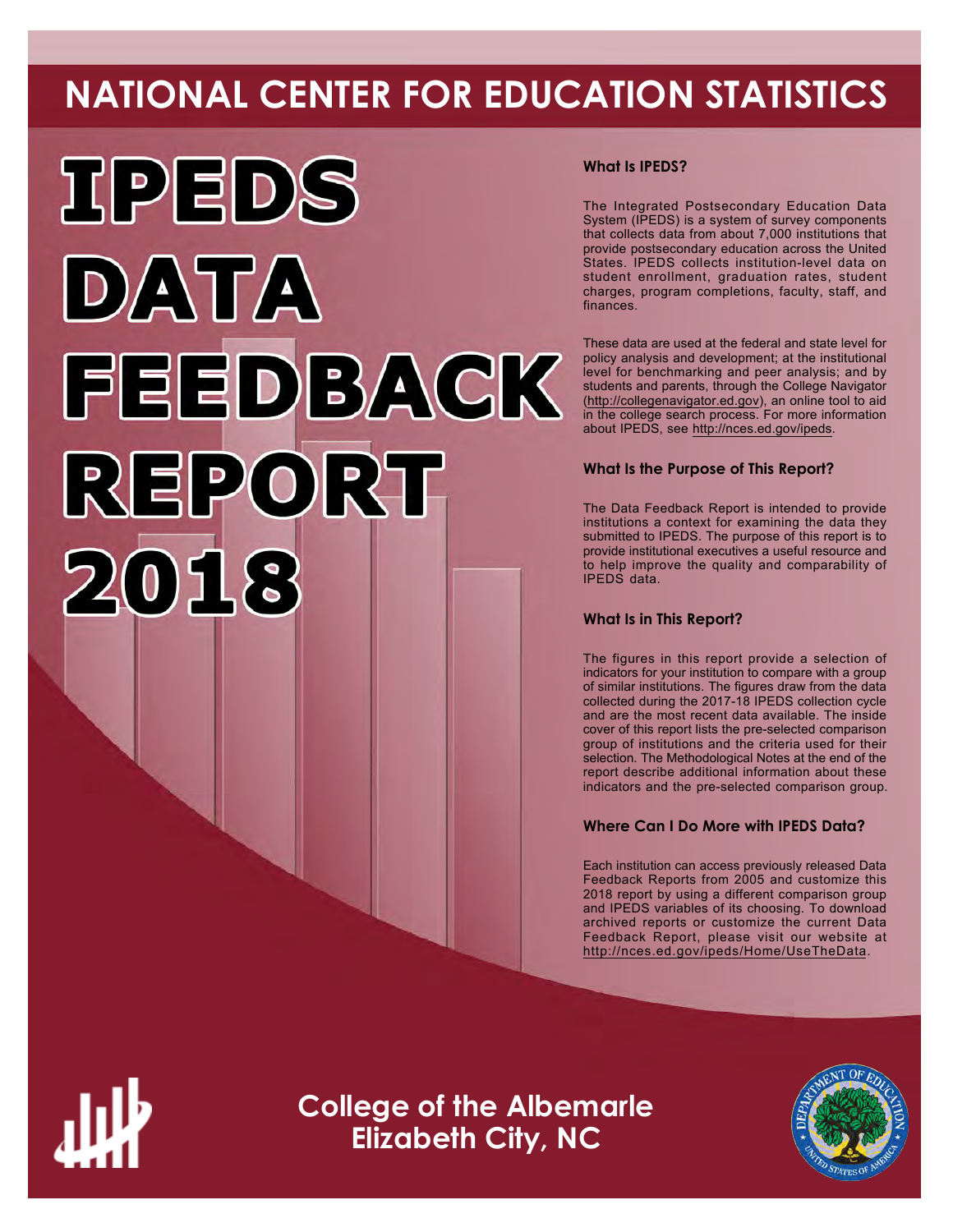# **NATIONAL CENTER FOR EDUCATION STATISTICS**



# **What Is IPEDS?**

The Integrated Postsecondary Education Data System (IPEDS) is a system of survey components that collects data from about 7,000 institutions that provide postsecondary education across the United States. IPEDS collects institution-level data on student enrollment, graduation rates, student charges, program completions, faculty, staff, and finances.

These data are used at the federal and state level for policy analysis and development; at the institutional level for benchmarking and peer analysis; and by students and parents, through the College Navigator ([http://collegenavigator.ed.gov\)](http://collegenavigator.ed.gov), an online tool to aid in the college search process. For more information about IPEDS, see [http://nces.ed.gov/ipeds.](http://nces.ed.gov/ipeds)

# **What Is the Purpose of This Report?**

The Data Feedback Report is intended to provide institutions a context for examining the data they submitted to IPEDS. The purpose of this report is to provide institutional executives a useful resource and to help improve the quality and comparability of IPEDS data.

# **What Is in This Report?**

The figures in this report provide a selection of indicators for your institution to compare with a group of similar institutions. The figures draw from the data collected during the 2017-18 IPEDS collection cycle and are the most recent data available. The inside cover of this report lists the pre-selected comparison group of institutions and the criteria used for their selection. The Methodological Notes at the end of the report describe additional information about these indicators and the pre-selected comparison group.

# **Where Can I Do More with IPEDS Data?**

Each institution can access previously released Data Feedback Reports from 2005 and customize this 2018 report by using a different comparison group and IPEDS variables of its choosing. To download archived reports or customize the current Data Feedback Report, please visit our website at <http://nces.ed.gov/ipeds/Home/UseTheData>.



**College of the Albemarle Elizabeth City, NC**

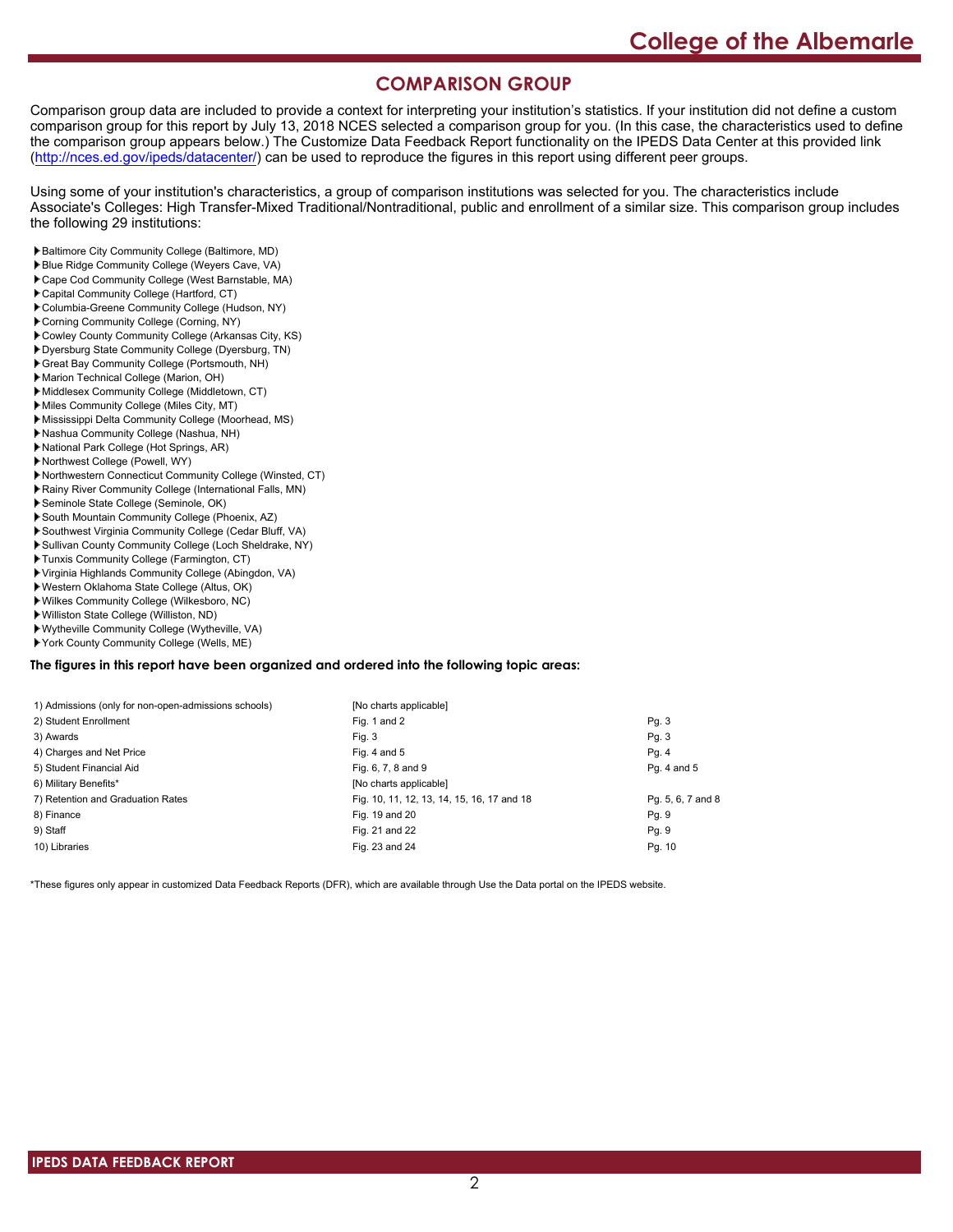# **COMPARISON GROUP**

Comparison group data are included to provide a context for interpreting your institution's statistics. If your institution did not define a custom comparison group for this report by July 13, 2018 NCES selected a comparison group for you. (In this case, the characteristics used to define the comparison group appears below.) The Customize Data Feedback Report functionality on the IPEDS Data Center at this provided link [\(http://nces.ed.gov/ipeds/datacenter/\)](http://nces.ed.gov/ipeds/datacenter/) can be used to reproduce the figures in this report using different peer groups.

Using some of your institution's characteristics, a group of comparison institutions was selected for you. The characteristics include Associate's Colleges: High Transfer-Mixed Traditional/Nontraditional, public and enrollment of a similar size. This comparison group includes the following 29 institutions:

- Baltimore City Community College (Baltimore, MD)
- Blue Ridge Community College (Weyers Cave, VA)
- Cape Cod Community College (West Barnstable, MA)
- Capital Community College (Hartford, CT)
- Columbia-Greene Community College (Hudson, NY) Corning Community College (Corning, NY)
- 
- Cowley County Community College (Arkansas City, KS)
- Dyersburg State Community College (Dyersburg, TN) Great Bay Community College (Portsmouth, NH)
- Marion Technical College (Marion, OH)
- Middlesex Community College (Middletown, CT)
- Miles Community College (Miles City, MT)
- Mississippi Delta Community College (Moorhead, MS)
- Nashua Community College (Nashua, NH)
- National Park College (Hot Springs, AR)
- Northwest College (Powell, WY)
- Northwestern Connecticut Community College (Winsted, CT)
- Rainy River Community College (International Falls, MN)
- Seminole State College (Seminole, OK)
- South Mountain Community College (Phoenix, AZ)
- Southwest Virginia Community College (Cedar Bluff, VA)
- Sullivan County Community College (Loch Sheldrake, NY)
- Tunxis Community College (Farmington, CT)
- Virginia Highlands Community College (Abingdon, VA)
- Western Oklahoma State College (Altus, OK)
- Wilkes Community College (Wilkesboro, NC)
- Williston State College (Williston, ND)
- Wytheville Community College (Wytheville, VA) York County Community College (Wells, ME)

# **The figures in this report have been organized and ordered into the following topic areas:**

| [No charts applicable]                     |                   |
|--------------------------------------------|-------------------|
| Fig. 1 and 2                               | Pg.3              |
| Fig. 3                                     | Pg.3              |
| Fig. 4 and $5$                             | Pg. 4             |
| Fig. 6, 7, 8 and 9                         | Pg. 4 and 5       |
| [No charts applicable]                     |                   |
| Fig. 10, 11, 12, 13, 14, 15, 16, 17 and 18 | Pq. 5, 6, 7 and 8 |
| Fig. 19 and 20                             | Pg. 9             |
| Fig. 21 and 22                             | Pg. 9             |
| Fig. 23 and 24                             | Pg. 10            |
|                                            |                   |

\*These figures only appear in customized Data Feedback Reports (DFR), which are available through Use the Data portal on the IPEDS website.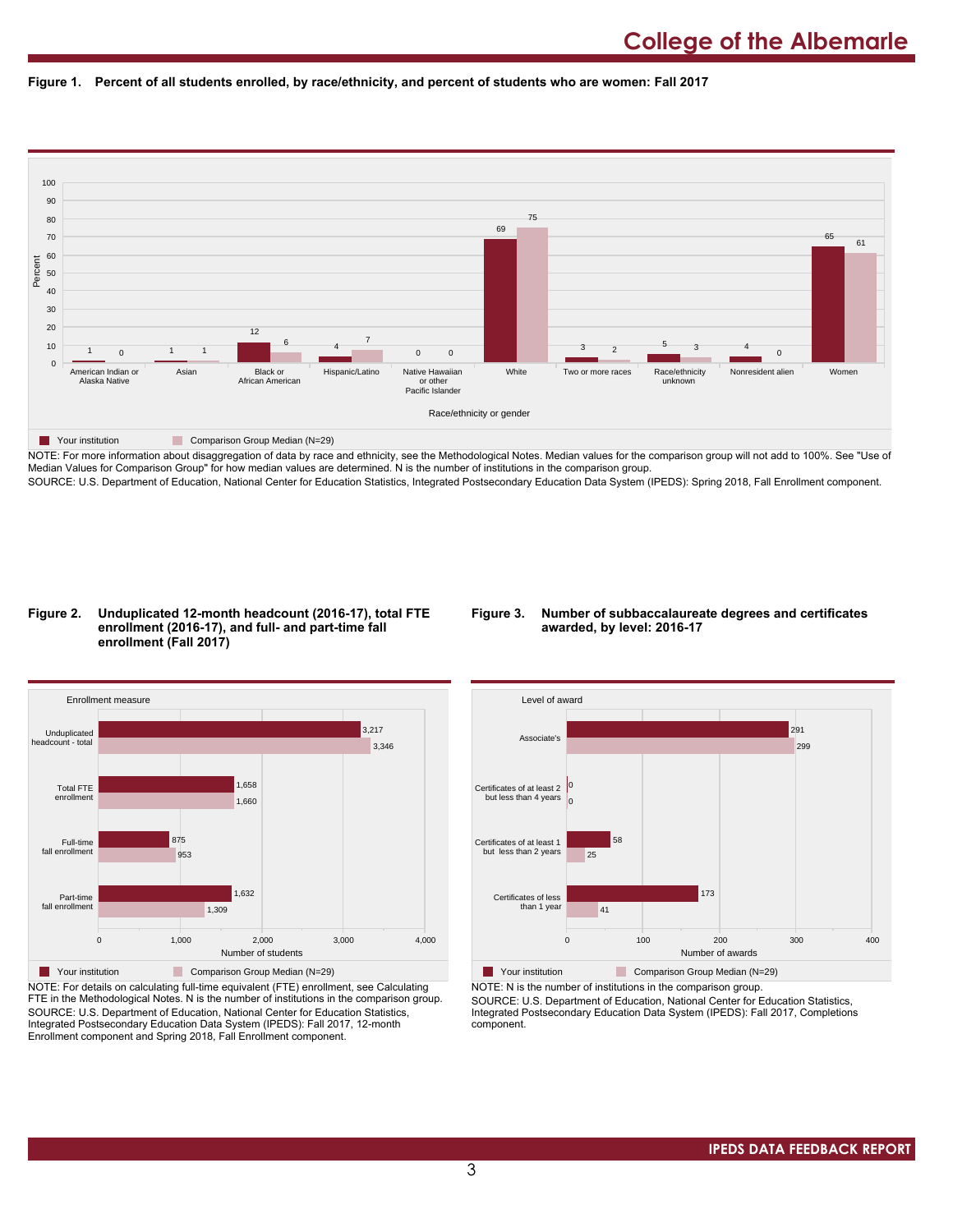



NOTE: For more information about disaggregation of data by race and ethnicity, see the Methodological Notes. Median values for the comparison group will not add to 100%. See "Use of Median Values for Comparison Group" for how median values are determined. N is the number of institutions in the comparison group. SOURCE: U.S. Department of Education, National Center for Education Statistics, Integrated Postsecondary Education Data System (IPEDS): Spring 2018, Fall Enrollment component.

#### **Figure 2. Unduplicated 12-month headcount (2016-17), total FTE enrollment (2016-17), and full- and part-time fall enrollment (Fall 2017)**

### **Figure 3. Number of subbaccalaureate degrees and certificates awarded, by level: 2016-17**



NOTE: For details on calculating full-time equivalent (FTE) enrollment, see Calculating FTE in the Methodological Notes. N is the number of institutions in the comparison group. SOURCE: U.S. Department of Education, National Center for Education Statistics, Integrated Postsecondary Education Data System (IPEDS): Fall 2017, 12-month Enrollment component and Spring 2018, Fall Enrollment component.



NOTE: N is the number of institutions in the comparison group.

SOURCE: U.S. Department of Education, National Center for Education Statistics, Integrated Postsecondary Education Data System (IPEDS): Fall 2017, Completions component.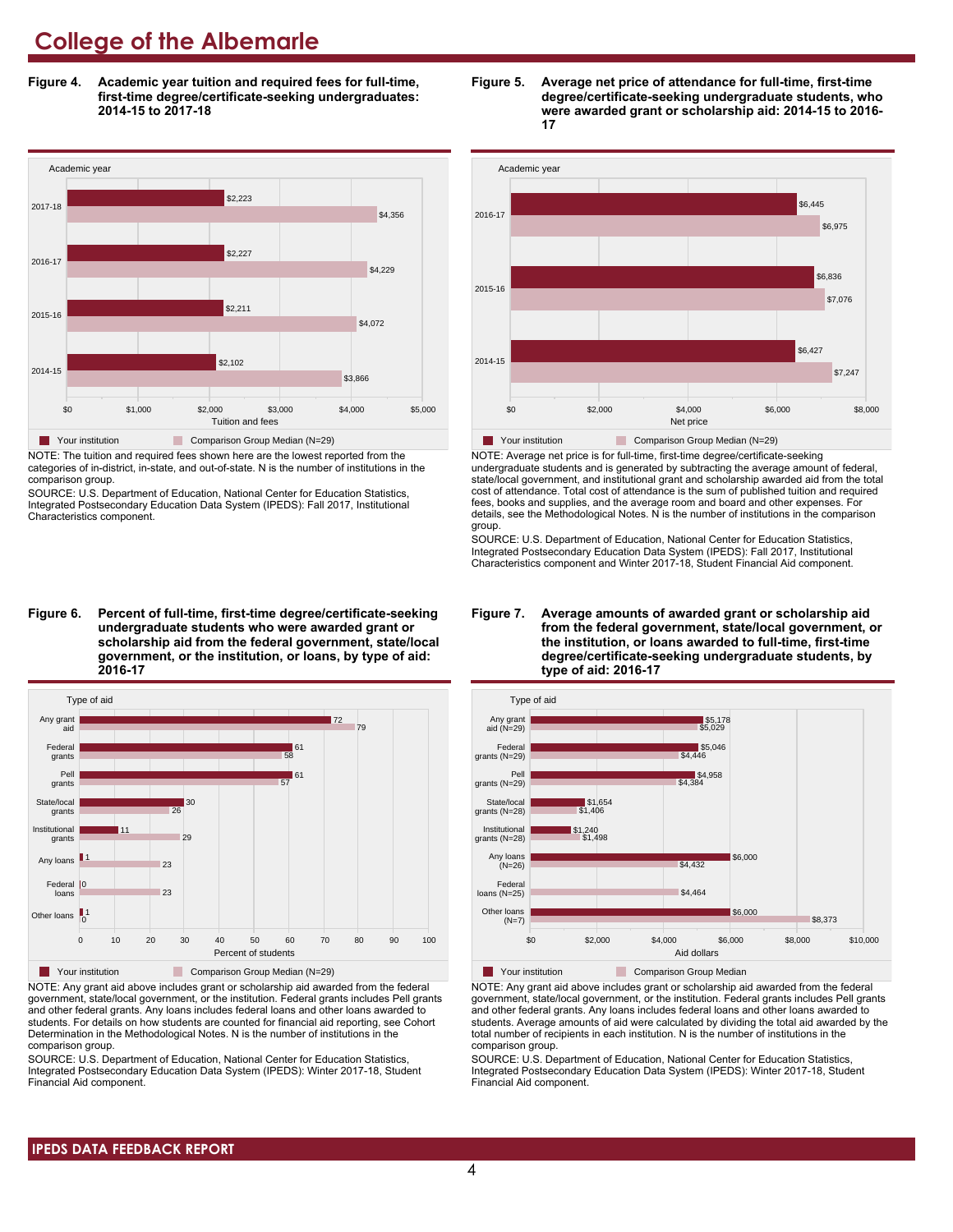**Figure 4. Academic year tuition and required fees for full-time, first-time degree/certificate-seeking undergraduates: 2014-15 to 2017-18**



NOTE: The tuition and required fees shown here are the lowest reported from the categories of in-district, in-state, and out-of-state. N is the number of institutions in the comparison group.

SOURCE: U.S. Department of Education, National Center for Education Statistics, Integrated Postsecondary Education Data System (IPEDS): Fall 2017, Institutional Characteristics component.

**Figure 6. Percent of full-time, first-time degree/certificate-seeking undergraduate students who were awarded grant or scholarship aid from the federal government, state/local government, or the institution, or loans, by type of aid: 2016-17**



NOTE: Any grant aid above includes grant or scholarship aid awarded from the federal government, state/local government, or the institution. Federal grants includes Pell grants and other federal grants. Any loans includes federal loans and other loans awarded to students. For details on how students are counted for financial aid reporting, see Cohort Determination in the Methodological Notes. N is the number of institutions in the comparison group.

SOURCE: U.S. Department of Education, National Center for Education Statistics, Integrated Postsecondary Education Data System (IPEDS): Winter 2017-18, Student Financial Aid component.





NOTE: Average net price is for full-time, first-time degree/certificate-seeking undergraduate students and is generated by subtracting the average amount of federal, state/local government, and institutional grant and scholarship awarded aid from the total cost of attendance. Total cost of attendance is the sum of published tuition and required fees, books and supplies, and the average room and board and other expenses. For details, see the Methodological Notes. N is the number of institutions in the comparison group.

SOURCE: U.S. Department of Education, National Center for Education Statistics, Integrated Postsecondary Education Data System (IPEDS): Fall 2017, Institutional Characteristics component and Winter 2017-18, Student Financial Aid component.





NOTE: Any grant aid above includes grant or scholarship aid awarded from the federal government, state/local government, or the institution. Federal grants includes Pell grants and other federal grants. Any loans includes federal loans and other loans awarded to students. Average amounts of aid were calculated by dividing the total aid awarded by the total number of recipients in each institution. N is the number of institutions in the comparison group.

SOURCE: U.S. Department of Education, National Center for Education Statistics, Integrated Postsecondary Education Data System (IPEDS): Winter 2017-18, Student Financial Aid component.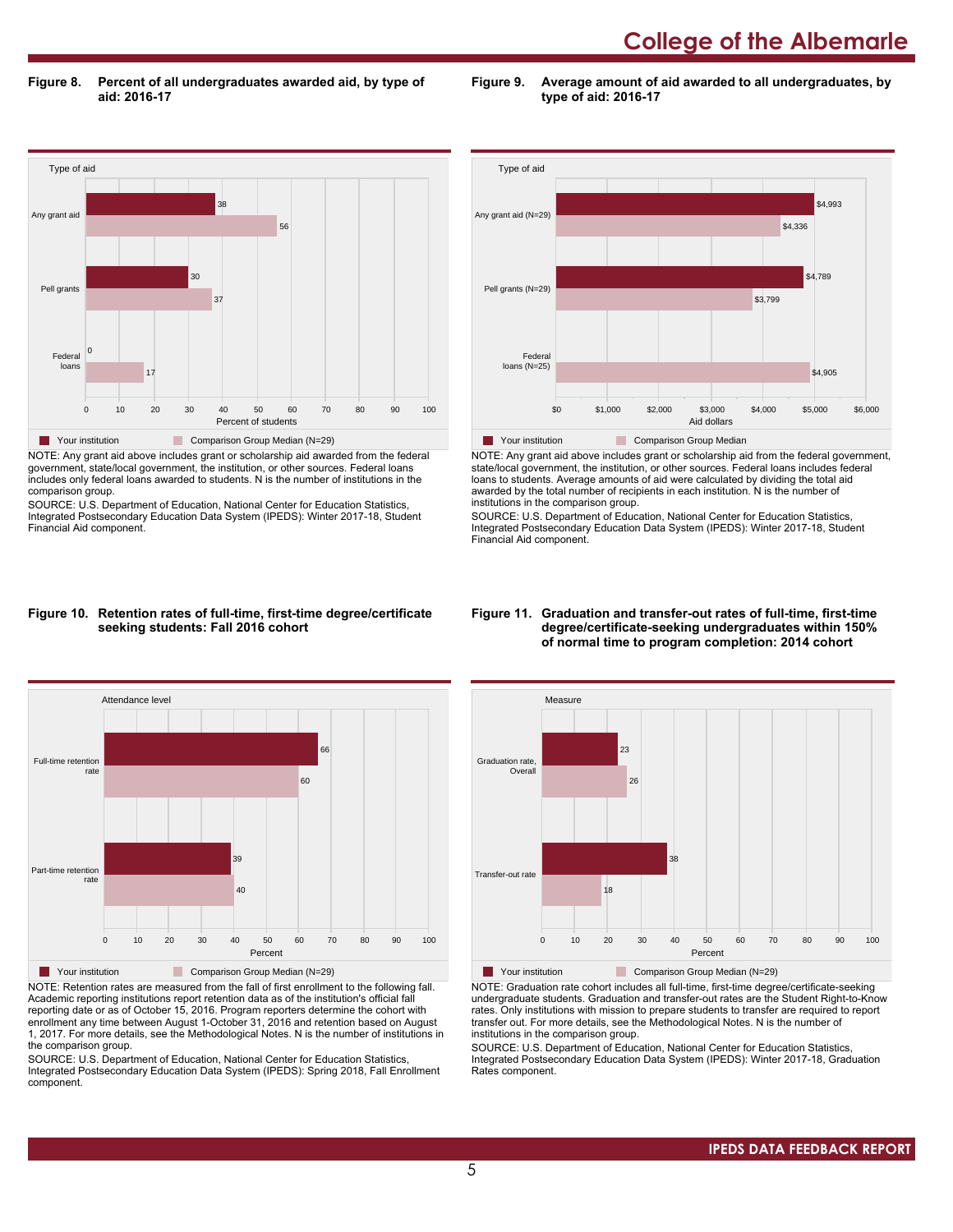**Figure 8. Percent of all undergraduates awarded aid, by type of aid: 2016-17**

**Figure 9. Average amount of aid awarded to all undergraduates, by type of aid: 2016-17**



NOTE: Any grant aid above includes grant or scholarship aid awarded from the federal government, state/local government, the institution, or other sources. Federal loans includes only federal loans awarded to students. N is the number of institutions in the comparison group.

SOURCE: U.S. Department of Education, National Center for Education Statistics, Integrated Postsecondary Education Data System (IPEDS): Winter 2017-18, Student Financial Aid component.



NOTE: Any grant aid above includes grant or scholarship aid from the federal government, state/local government, the institution, or other sources. Federal loans includes federal loans to students. Average amounts of aid were calculated by dividing the total aid awarded by the total number of recipients in each institution. N is the number of institutions in the comparison group.

SOURCE: U.S. Department of Education, National Center for Education Statistics, Integrated Postsecondary Education Data System (IPEDS): Winter 2017-18, Student Financial Aid component.

#### **Figure 10. Retention rates of full-time, first-time degree/certificate seeking students: Fall 2016 cohort**



NOTE: Retention rates are measured from the fall of first enrollment to the following fall. Academic reporting institutions report retention data as of the institution's official fall reporting date or as of October 15, 2016. Program reporters determine the cohort with enrollment any time between August 1-October 31, 2016 and retention based on August 1, 2017. For more details, see the Methodological Notes. N is the number of institutions in the comparison group.

SOURCE: U.S. Department of Education, National Center for Education Statistics, Integrated Postsecondary Education Data System (IPEDS): Spring 2018, Fall Enrollment component.

#### **Figure 11. Graduation and transfer-out rates of full-time, first-time degree/certificate-seeking undergraduates within 150% of normal time to program completion: 2014 cohort**



NOTE: Graduation rate cohort includes all full-time, first-time degree/certificate-seeking undergraduate students. Graduation and transfer-out rates are the Student Right-to-Know rates. Only institutions with mission to prepare students to transfer are required to report transfer out. For more details, see the Methodological Notes. N is the number of institutions in the comparison group.

SOURCE: U.S. Department of Education, National Center for Education Statistics, Integrated Postsecondary Education Data System (IPEDS): Winter 2017-18, Graduation Rates component.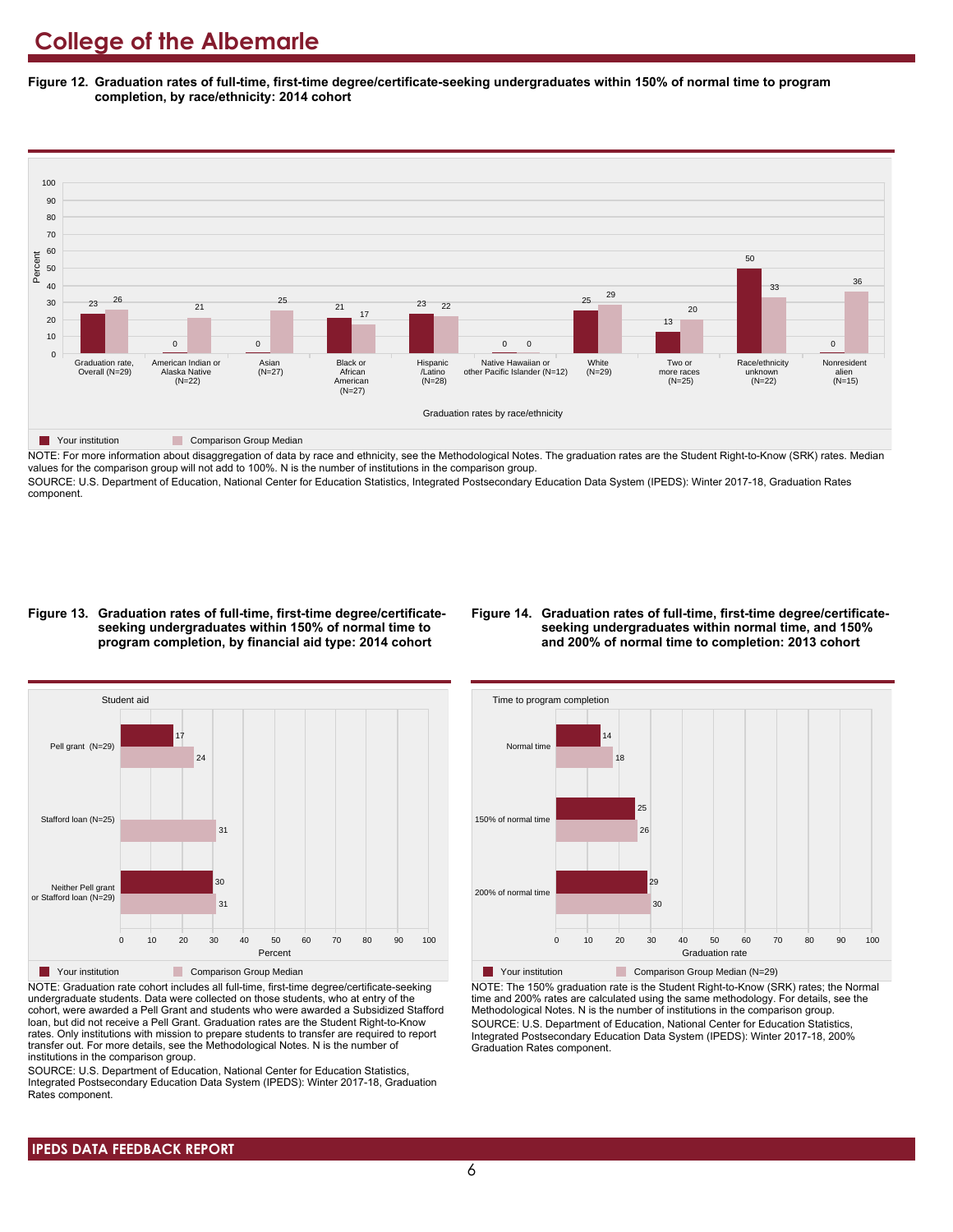**Figure 12. Graduation rates of full-time, first-time degree/certificate-seeking undergraduates within 150% of normal time to program completion, by race/ethnicity: 2014 cohort**



NOTE: For more information about disaggregation of data by race and ethnicity, see the Methodological Notes. The graduation rates are the Student Right-to-Know (SRK) rates. Median values for the comparison group will not add to 100%. N is the number of institutions in the comparison group.

SOURCE: U.S. Department of Education, National Center for Education Statistics, Integrated Postsecondary Education Data System (IPEDS): Winter 2017-18, Graduation Rates component.

#### **Figure 13. Graduation rates of full-time, first-time degree/certificateseeking undergraduates within 150% of normal time to program completion, by financial aid type: 2014 cohort**

#### **Figure 14. Graduation rates of full-time, first-time degree/certificateseeking undergraduates within normal time, and 150% and 200% of normal time to completion: 2013 cohort**



NOTE: Graduation rate cohort includes all full-time, first-time degree/certificate-seeking undergraduate students. Data were collected on those students, who at entry of the cohort, were awarded a Pell Grant and students who were awarded a Subsidized Stafford loan, but did not receive a Pell Grant. Graduation rates are the Student Right-to-Know rates. Only institutions with mission to prepare students to transfer are required to report transfer out. For more details, see the Methodological Notes. N is the number of institutions in the comparison group.

SOURCE: U.S. Department of Education, National Center for Education Statistics, Integrated Postsecondary Education Data System (IPEDS): Winter 2017-18, Graduation Rates component.



**Your institution** Comparison Group Median (N=29) NOTE: The 150% graduation rate is the Student Right-to-Know (SRK) rates; the Normal time and 200% rates are calculated using the same methodology. For details, see the Methodological Notes. N is the number of institutions in the comparison group. SOURCE: U.S. Department of Education, National Center for Education Statistics, Integrated Postsecondary Education Data System (IPEDS): Winter 2017-18, 200% Graduation Rates component.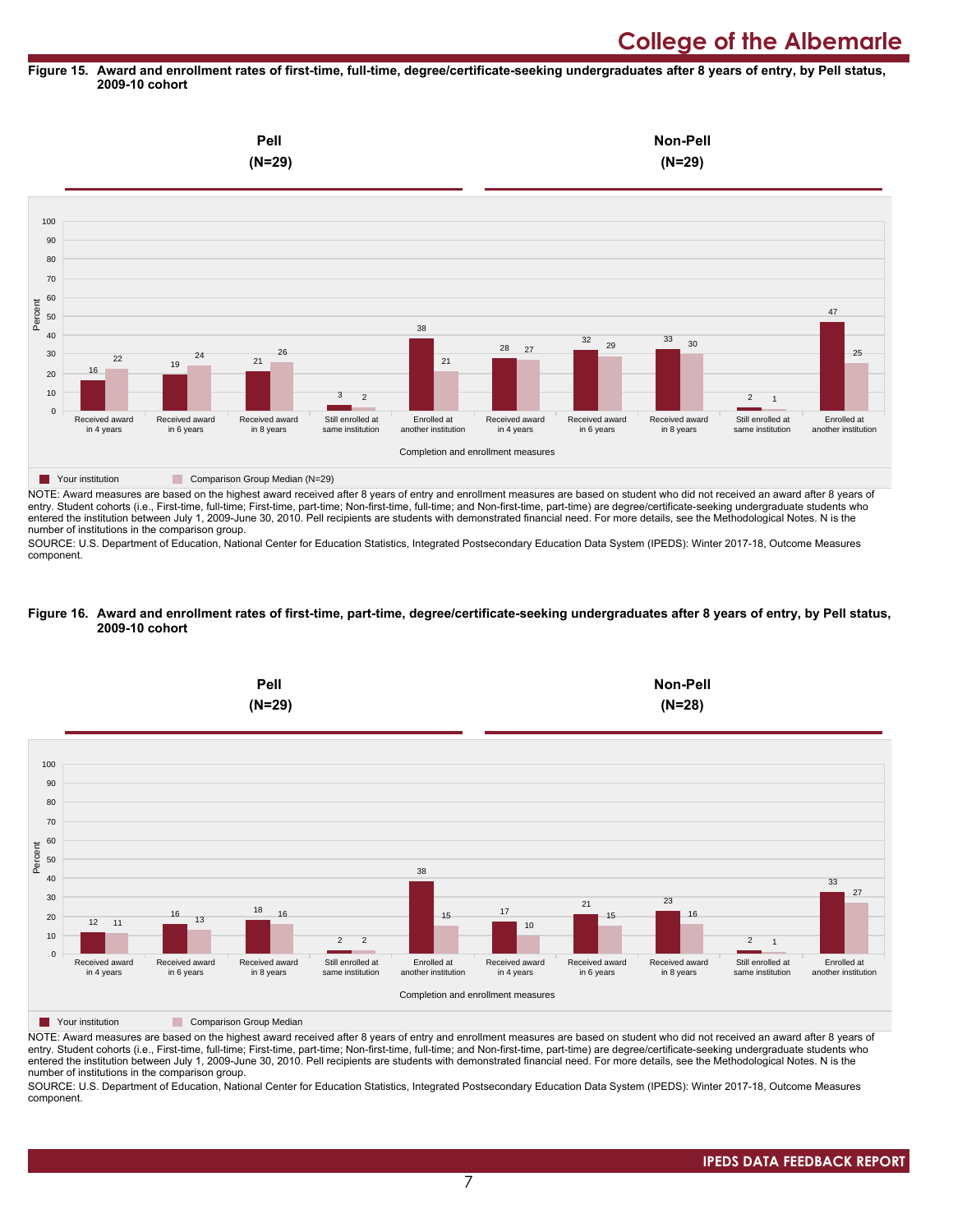#### **Figure 15. Award and enrollment rates of first-time, full-time, degree/certificate-seeking undergraduates after 8 years of entry, by Pell status, 2009-10 cohort**



NOTE: Award measures are based on the highest award received after 8 years of entry and enrollment measures are based on student who did not received an award after 8 years of entry. Student cohorts (i.e., First-time, full-time; First-time, part-time; Non-first-time, full-time; and Non-first-time, part-time) are degree/certificate-seeking undergraduate students who entered the institution between July 1, 2009-June 30, 2010. Pell recipients are students with demonstrated financial need. For more details, see the Methodological Notes. N is the number of institutions in the comparison group.

SOURCE: U.S. Department of Education, National Center for Education Statistics, Integrated Postsecondary Education Data System (IPEDS): Winter 2017-18, Outcome Measures component.

#### **Figure 16. Award and enrollment rates of first-time, part-time, degree/certificate-seeking undergraduates after 8 years of entry, by Pell status, 2009-10 cohort**



NOTE: Award measures are based on the highest award received after 8 years of entry and enrollment measures are based on student who did not received an award after 8 years of entry. Student cohorts (i.e., First-time, full-time; First-time, part-time; Non-first-time, full-time; and Non-first-time, part-time) are degree/certificate-seeking undergraduate students who entered the institution between July 1, 2009-June 30, 2010. Pell recipients are students with demonstrated financial need. For more details, see the Methodological Notes. N is the number of institutions in the comparison group.

SOURCE: U.S. Department of Education, National Center for Education Statistics, Integrated Postsecondary Education Data System (IPEDS): Winter 2017-18, Outcome Measures component.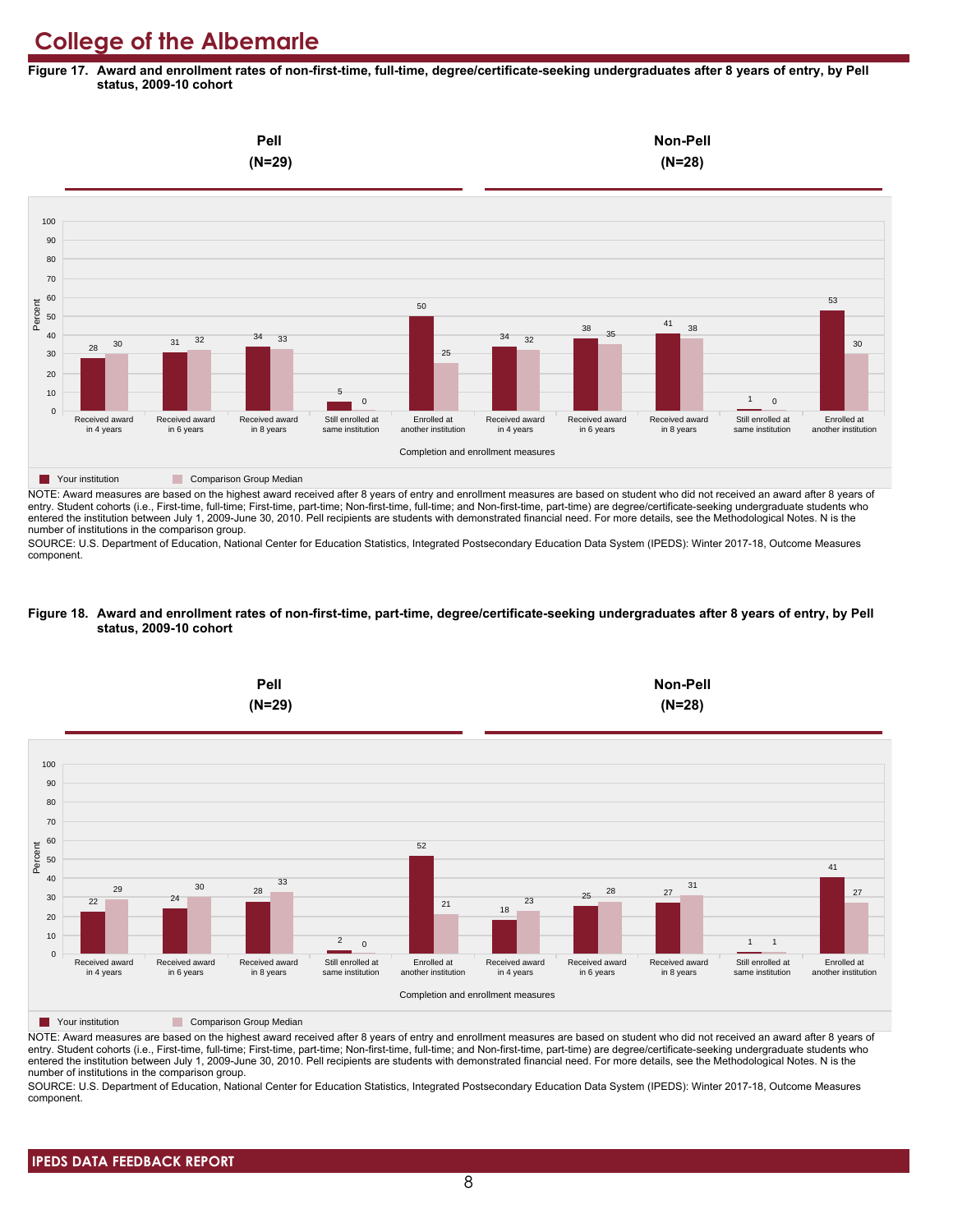**Figure 17. Award and enrollment rates of non-first-time, full-time, degree/certificate-seeking undergraduates after 8 years of entry, by Pell status, 2009-10 cohort**



NOTE: Award measures are based on the highest award received after 8 years of entry and enrollment measures are based on student who did not received an award after 8 years of entry. Student cohorts (i.e., First-time, full-time; First-time, part-time; Non-first-time, full-time; and Non-first-time, part-time) are degree/certificate-seeking undergraduate students who entered the institution between July 1, 2009-June 30, 2010. Pell recipients are students with demonstrated financial need. For more details, see the Methodological Notes. N is the number of institutions in the comparison group.

SOURCE: U.S. Department of Education, National Center for Education Statistics, Integrated Postsecondary Education Data System (IPEDS): Winter 2017-18, Outcome Measures component.

#### **Figure 18. Award and enrollment rates of non-first-time, part-time, degree/certificate-seeking undergraduates after 8 years of entry, by Pell status, 2009-10 cohort**



NOTE: Award measures are based on the highest award received after 8 years of entry and enrollment measures are based on student who did not received an award after 8 years of entry. Student cohorts (i.e., First-time, full-time; First-time, part-time; Non-first-time, full-time; and Non-first-time, part-time) are degree/certificate-seeking undergraduate students who entered the institution between July 1, 2009-June 30, 2010. Pell recipients are students with demonstrated financial need. For more details, see the Methodological Notes. N is the number of institutions in the comparison group.

SOURCE: U.S. Department of Education, National Center for Education Statistics, Integrated Postsecondary Education Data System (IPEDS): Winter 2017-18, Outcome Measures component.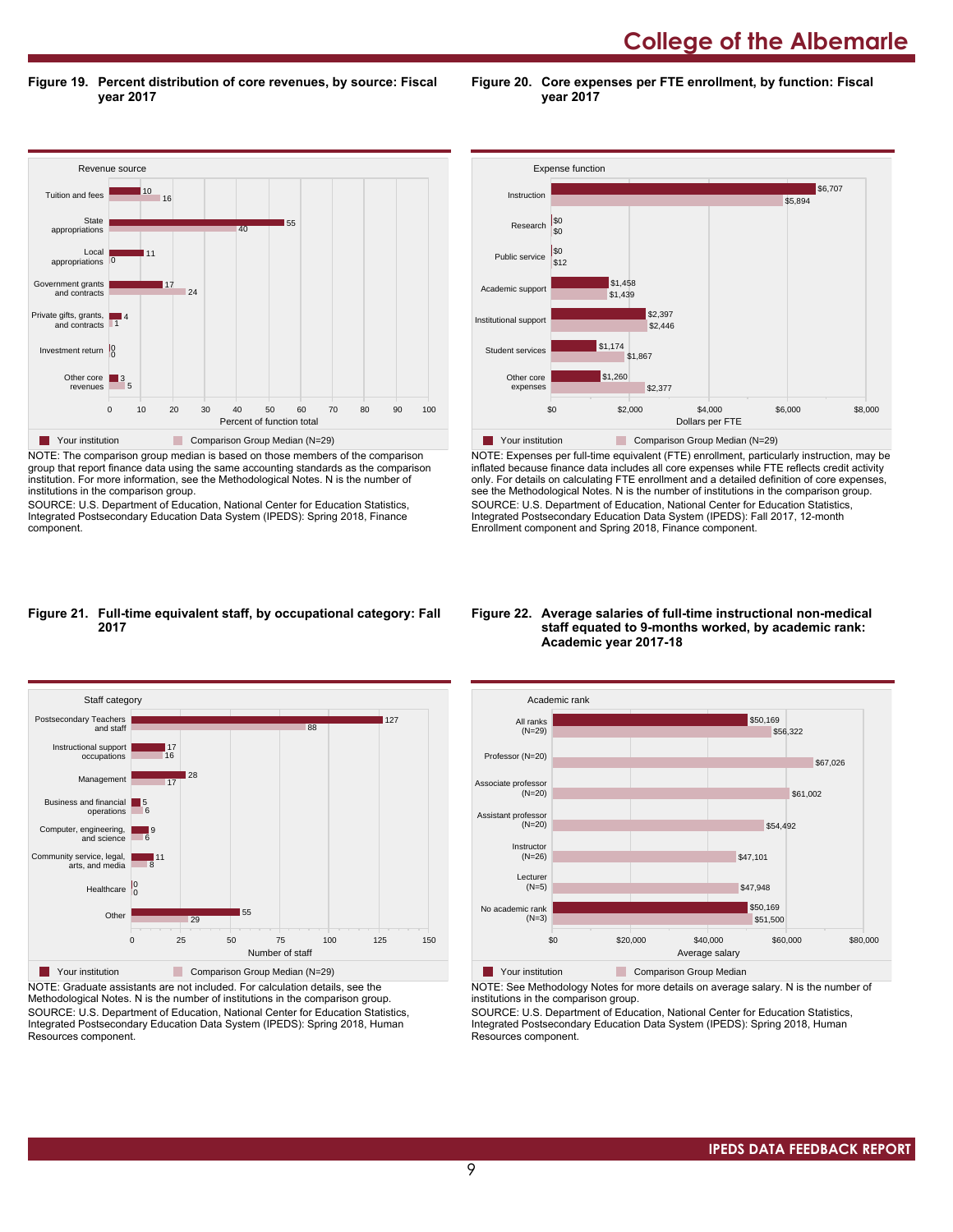**College of the Albemarle** 

**Figure 19. Percent distribution of core revenues, by source: Fiscal year 2017**

Revenue source 0 10 20 30 40 50 60 70 80 90 100 Percent of function total Other core revenues Investment return 0 0 Private gifts, grants, and contracts Government grants and contracts Local appropriations **State** appropriations Tuition and fees 5  $\Box$ 3 1 4  $2<sup>4</sup>$ 17 0 11 40 55  $10$  16 **The Comparison Group Median (N=29)** Comparison Group Median (N=29) NOTE: The comparison group median is based on those members of the comparison group that report finance data using the same accounting standards as the comparison

institution. For more information, see the Methodological Notes. N is the number of institutions in the comparison group.

SOURCE: U.S. Department of Education, National Center for Education Statistics, Integrated Postsecondary Education Data System (IPEDS): Spring 2018, Finance component.



**Figure 20. Core expenses per FTE enrollment, by function: Fiscal**

**year 2017**

NOTE: Expenses per full-time equivalent (FTE) enrollment, particularly instruction, may be inflated because finance data includes all core expenses while FTE reflects credit activity only. For details on calculating FTE enrollment and a detailed definition of core expenses, see the Methodological Notes. N is the number of institutions in the comparison group. SOURCE: U.S. Department of Education, National Center for Education Statistics, Integrated Postsecondary Education Data System (IPEDS): Fall 2017, 12-month Enrollment component and Spring 2018, Finance component.

# **Figure 21. Full-time equivalent staff, by occupational category: Fall 2017**



NOTE: Graduate assistants are not included. For calculation details, see the Methodological Notes. N is the number of institutions in the comparison group. SOURCE: U.S. Department of Education, National Center for Education Statistics, Integrated Postsecondary Education Data System (IPEDS): Spring 2018, Human Resources component.

#### **Figure 22. Average salaries of full-time instructional non-medical staff equated to 9-months worked, by academic rank: Academic year 2017-18**



**The Your institution Comparison Group Median** 

NOTE: See Methodology Notes for more details on average salary. N is the number of institutions in the comparison group.

SOURCE: U.S. Department of Education, National Center for Education Statistics, Integrated Postsecondary Education Data System (IPEDS): Spring 2018, Human Resources component.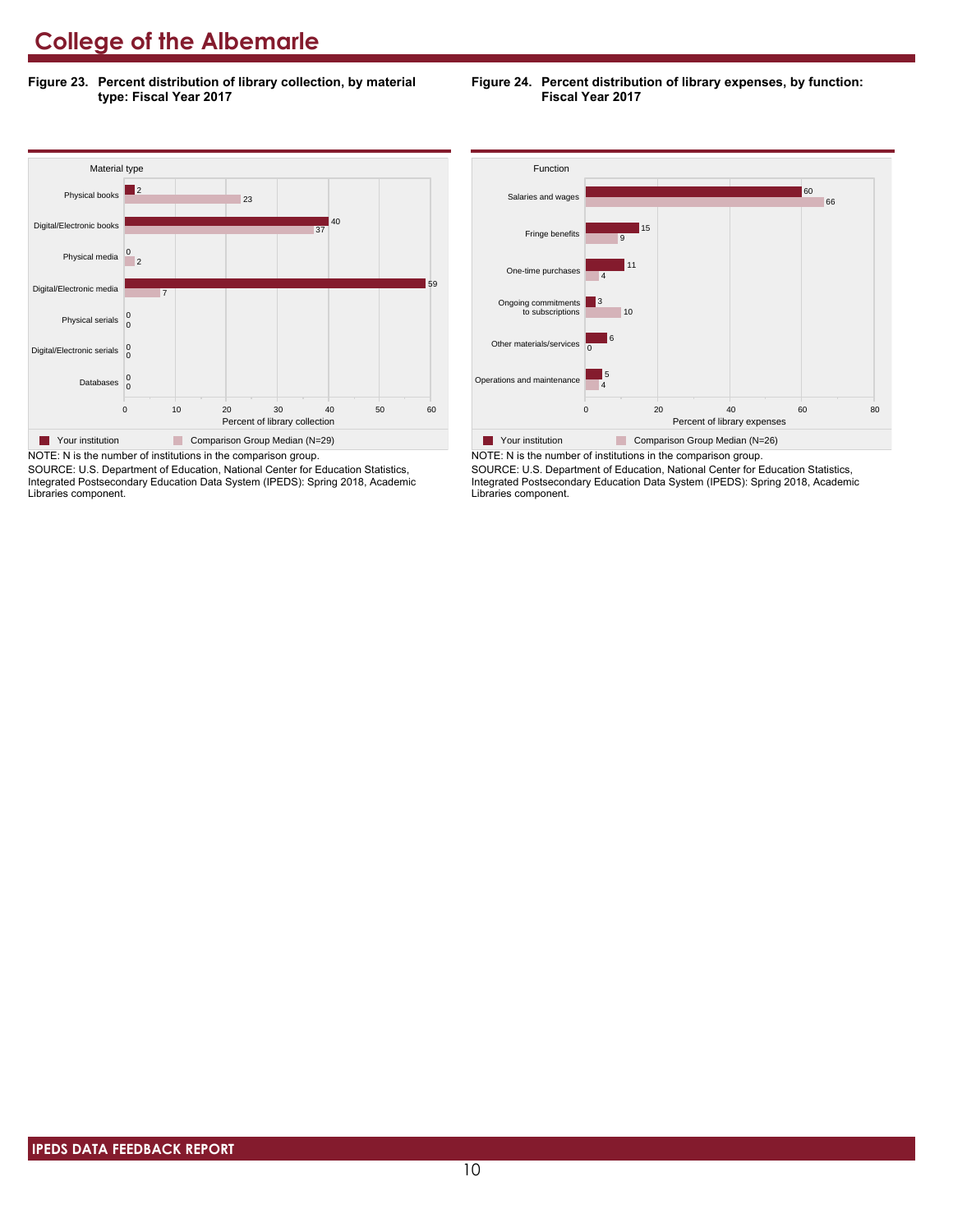**Figure 23. Percent distribution of library collection, by material type: Fiscal Year 2017**



NOTE: N is the number of institutions in the comparison group.

SOURCE: U.S. Department of Education, National Center for Education Statistics, Integrated Postsecondary Education Data System (IPEDS): Spring 2018, Academic Libraries component.

**Figure 24. Percent distribution of library expenses, by function: Fiscal Year 2017**



NOTE: N is the number of institutions in the comparison group. SOURCE: U.S. Department of Education, National Center for Education Statistics, Integrated Postsecondary Education Data System (IPEDS): Spring 2018, Academic Libraries component.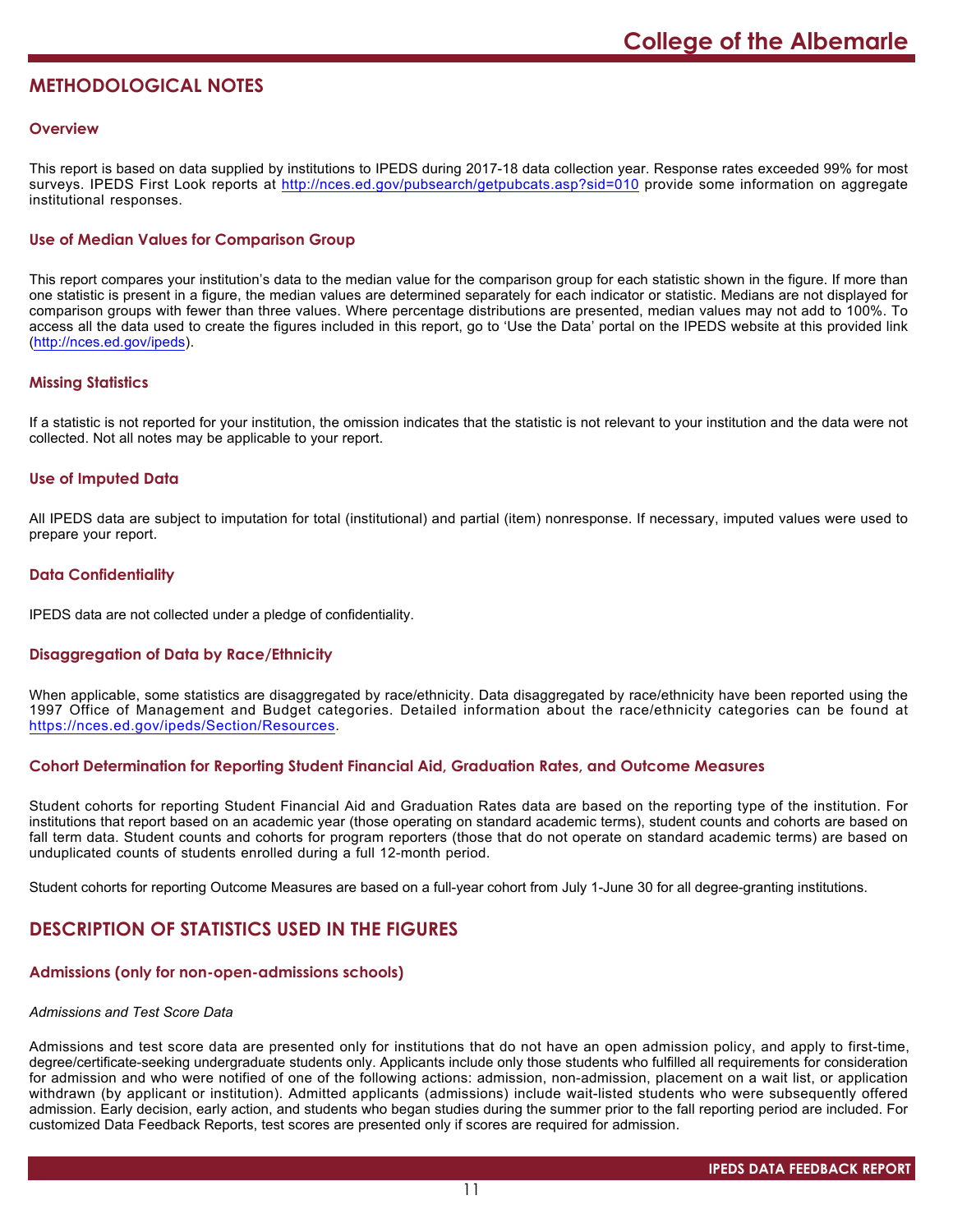# **METHODOLOGICAL NOTES**

### **Overview**

This report is based on data supplied by institutions to IPEDS during 2017-18 data collection year. Response rates exceeded 99% for most surveys. IPEDS First Look reports at <http://nces.ed.gov/pubsearch/getpubcats.asp?sid=010> provide some information on aggregate institutional responses.

# **Use of Median Values for Comparison Group**

This report compares your institution's data to the median value for the comparison group for each statistic shown in the figure. If more than one statistic is present in a figure, the median values are determined separately for each indicator or statistic. Medians are not displayed for comparison groups with fewer than three values. Where percentage distributions are presented, median values may not add to 100%. To access all the data used to create the figures included in this report, go to 'Use the Data' portal on the IPEDS website at this provided link (<http://nces.ed.gov/ipeds>).

# **Missing Statistics**

If a statistic is not reported for your institution, the omission indicates that the statistic is not relevant to your institution and the data were not collected. Not all notes may be applicable to your report.

### **Use of Imputed Data**

All IPEDS data are subject to imputation for total (institutional) and partial (item) nonresponse. If necessary, imputed values were used to prepare your report.

### **Data Confidentiality**

IPEDS data are not collected under a pledge of confidentiality.

# **Disaggregation of Data by Race/Ethnicity**

When applicable, some statistics are disaggregated by race/ethnicity. Data disaggregated by race/ethnicity have been reported using the 1997 Office of Management and Budget categories. Detailed information about the race/ethnicity categories can be found at <https://nces.ed.gov/ipeds/Section/Resources>.

#### **Cohort Determination for Reporting Student Financial Aid, Graduation Rates, and Outcome Measures**

Student cohorts for reporting Student Financial Aid and Graduation Rates data are based on the reporting type of the institution. For institutions that report based on an academic year (those operating on standard academic terms), student counts and cohorts are based on fall term data. Student counts and cohorts for program reporters (those that do not operate on standard academic terms) are based on unduplicated counts of students enrolled during a full 12-month period.

Student cohorts for reporting Outcome Measures are based on a full-year cohort from July 1-June 30 for all degree-granting institutions.

# **DESCRIPTION OF STATISTICS USED IN THE FIGURES**

#### **Admissions (only for non-open-admissions schools)**

#### *Admissions and Test Score Data*

Admissions and test score data are presented only for institutions that do not have an open admission policy, and apply to first-time, degree/certificate-seeking undergraduate students only. Applicants include only those students who fulfilled all requirements for consideration for admission and who were notified of one of the following actions: admission, non-admission, placement on a wait list, or application withdrawn (by applicant or institution). Admitted applicants (admissions) include wait-listed students who were subsequently offered admission. Early decision, early action, and students who began studies during the summer prior to the fall reporting period are included. For customized Data Feedback Reports, test scores are presented only if scores are required for admission.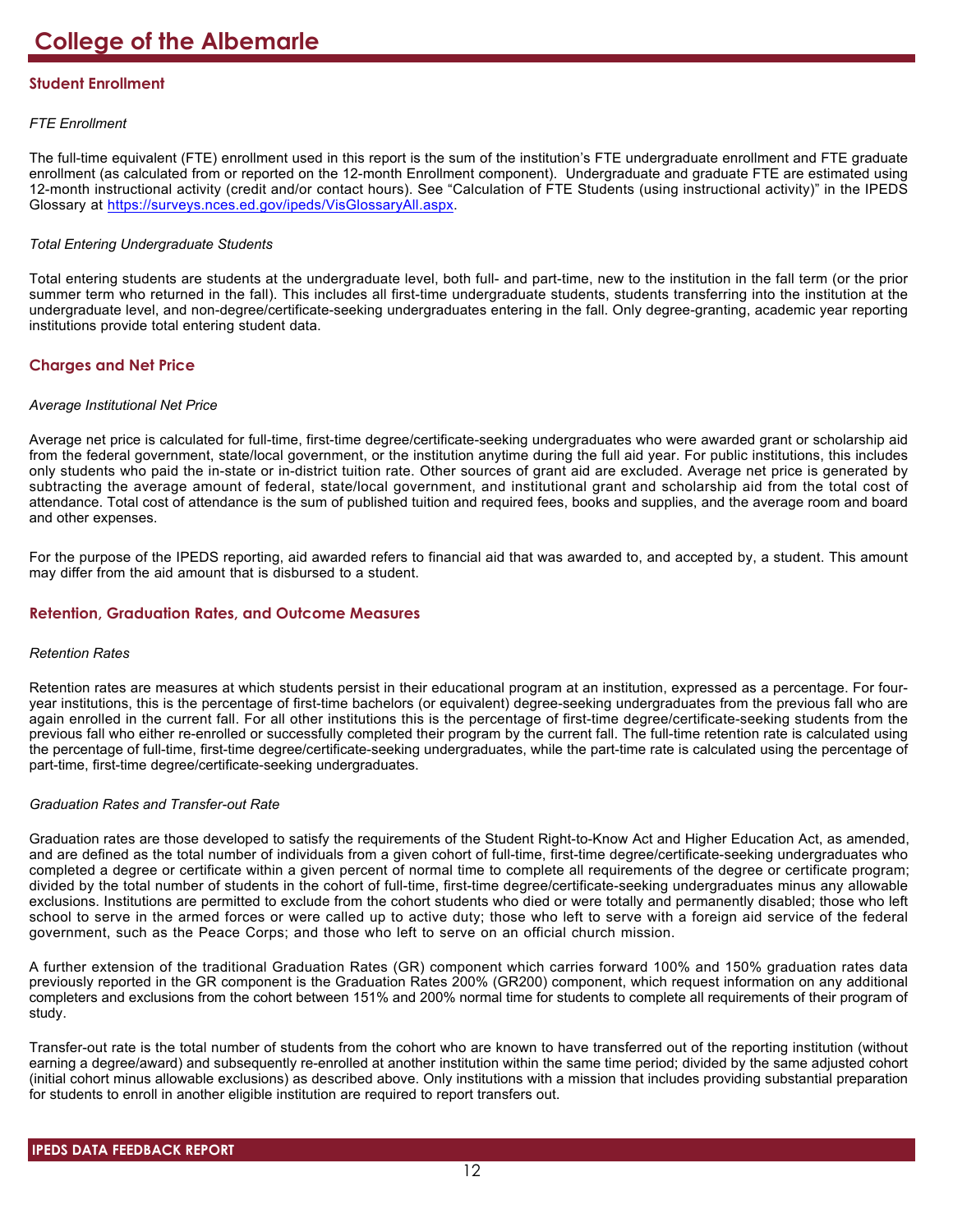# **Student Enrollment**

# *FTE Enrollment*

The full-time equivalent (FTE) enrollment used in this report is the sum of the institution's FTE undergraduate enrollment and FTE graduate enrollment (as calculated from or reported on the 12-month Enrollment component). Undergraduate and graduate FTE are estimated using 12-month instructional activity (credit and/or contact hours). See "Calculation of FTE Students (using instructional activity)" in the IPEDS Glossary at <https://surveys.nces.ed.gov/ipeds/VisGlossaryAll.aspx>.

# *Total Entering Undergraduate Students*

Total entering students are students at the undergraduate level, both full- and part-time, new to the institution in the fall term (or the prior summer term who returned in the fall). This includes all first-time undergraduate students, students transferring into the institution at the undergraduate level, and non-degree/certificate-seeking undergraduates entering in the fall. Only degree-granting, academic year reporting institutions provide total entering student data.

# **Charges and Net Price**

### *Average Institutional Net Price*

Average net price is calculated for full-time, first-time degree/certificate-seeking undergraduates who were awarded grant or scholarship aid from the federal government, state/local government, or the institution anytime during the full aid year. For public institutions, this includes only students who paid the in-state or in-district tuition rate. Other sources of grant aid are excluded. Average net price is generated by subtracting the average amount of federal, state/local government, and institutional grant and scholarship aid from the total cost of attendance. Total cost of attendance is the sum of published tuition and required fees, books and supplies, and the average room and board and other expenses.

For the purpose of the IPEDS reporting, aid awarded refers to financial aid that was awarded to, and accepted by, a student. This amount may differ from the aid amount that is disbursed to a student.

# **Retention, Graduation Rates, and Outcome Measures**

# *Retention Rates*

Retention rates are measures at which students persist in their educational program at an institution, expressed as a percentage. For fouryear institutions, this is the percentage of first-time bachelors (or equivalent) degree-seeking undergraduates from the previous fall who are again enrolled in the current fall. For all other institutions this is the percentage of first-time degree/certificate-seeking students from the previous fall who either re-enrolled or successfully completed their program by the current fall. The full-time retention rate is calculated using the percentage of full-time, first-time degree/certificate-seeking undergraduates, while the part-time rate is calculated using the percentage of part-time, first-time degree/certificate-seeking undergraduates.

# *Graduation Rates and Transfer-out Rate*

Graduation rates are those developed to satisfy the requirements of the Student Right-to-Know Act and Higher Education Act, as amended, and are defined as the total number of individuals from a given cohort of full-time, first-time degree/certificate-seeking undergraduates who completed a degree or certificate within a given percent of normal time to complete all requirements of the degree or certificate program; divided by the total number of students in the cohort of full-time, first-time degree/certificate-seeking undergraduates minus any allowable exclusions. Institutions are permitted to exclude from the cohort students who died or were totally and permanently disabled; those who left school to serve in the armed forces or were called up to active duty; those who left to serve with a foreign aid service of the federal government, such as the Peace Corps; and those who left to serve on an official church mission.

A further extension of the traditional Graduation Rates (GR) component which carries forward 100% and 150% graduation rates data previously reported in the GR component is the Graduation Rates 200% (GR200) component, which request information on any additional completers and exclusions from the cohort between 151% and 200% normal time for students to complete all requirements of their program of study.

Transfer-out rate is the total number of students from the cohort who are known to have transferred out of the reporting institution (without earning a degree/award) and subsequently re-enrolled at another institution within the same time period; divided by the same adjusted cohort (initial cohort minus allowable exclusions) as described above. Only institutions with a mission that includes providing substantial preparation for students to enroll in another eligible institution are required to report transfers out.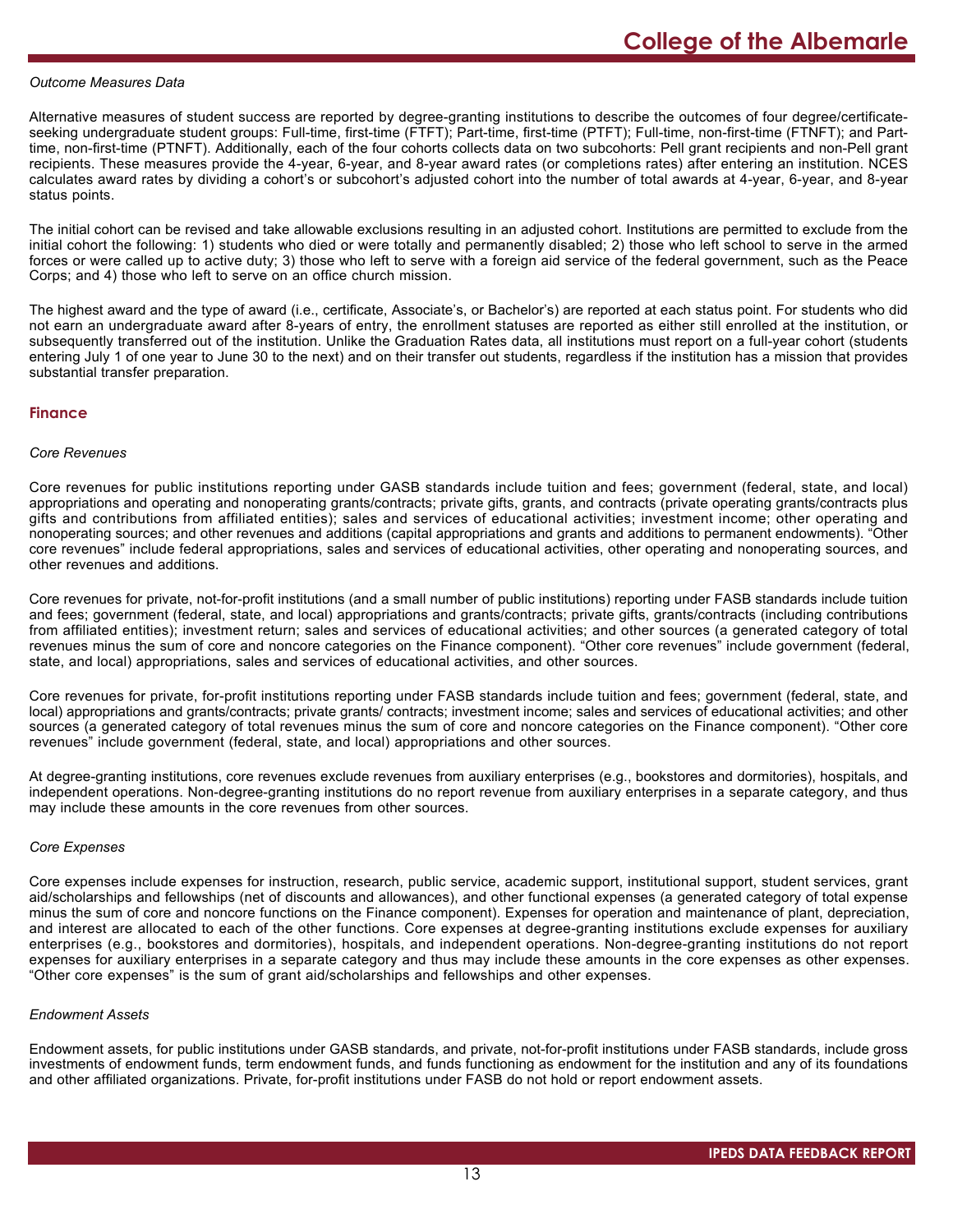#### *Outcome Measures Data*

Alternative measures of student success are reported by degree-granting institutions to describe the outcomes of four degree/certificateseeking undergraduate student groups: Full-time, first-time (FTFT); Part-time, first-time (PTFT); Full-time, non-first-time (FTNFT); and Parttime, non-first-time (PTNFT). Additionally, each of the four cohorts collects data on two subcohorts: Pell grant recipients and non-Pell grant recipients. These measures provide the 4-year, 6-year, and 8-year award rates (or completions rates) after entering an institution. NCES calculates award rates by dividing a cohort's or subcohort's adjusted cohort into the number of total awards at 4-year, 6-year, and 8-year status points.

The initial cohort can be revised and take allowable exclusions resulting in an adjusted cohort. Institutions are permitted to exclude from the initial cohort the following: 1) students who died or were totally and permanently disabled; 2) those who left school to serve in the armed forces or were called up to active duty; 3) those who left to serve with a foreign aid service of the federal government, such as the Peace Corps; and 4) those who left to serve on an office church mission.

The highest award and the type of award (i.e., certificate, Associate's, or Bachelor's) are reported at each status point. For students who did not earn an undergraduate award after 8-years of entry, the enrollment statuses are reported as either still enrolled at the institution, or subsequently transferred out of the institution. Unlike the Graduation Rates data, all institutions must report on a full-year cohort (students entering July 1 of one year to June 30 to the next) and on their transfer out students, regardless if the institution has a mission that provides substantial transfer preparation.

#### **Finance**

#### *Core Revenues*

Core revenues for public institutions reporting under GASB standards include tuition and fees; government (federal, state, and local) appropriations and operating and nonoperating grants/contracts; private gifts, grants, and contracts (private operating grants/contracts plus gifts and contributions from affiliated entities); sales and services of educational activities; investment income; other operating and nonoperating sources; and other revenues and additions (capital appropriations and grants and additions to permanent endowments). "Other core revenues" include federal appropriations, sales and services of educational activities, other operating and nonoperating sources, and other revenues and additions.

Core revenues for private, not-for-profit institutions (and a small number of public institutions) reporting under FASB standards include tuition and fees; government (federal, state, and local) appropriations and grants/contracts; private gifts, grants/contracts (including contributions from affiliated entities); investment return; sales and services of educational activities; and other sources (a generated category of total revenues minus the sum of core and noncore categories on the Finance component). "Other core revenues" include government (federal, state, and local) appropriations, sales and services of educational activities, and other sources.

Core revenues for private, for-profit institutions reporting under FASB standards include tuition and fees; government (federal, state, and local) appropriations and grants/contracts; private grants/ contracts; investment income; sales and services of educational activities; and other sources (a generated category of total revenues minus the sum of core and noncore categories on the Finance component). "Other core revenues" include government (federal, state, and local) appropriations and other sources.

At degree-granting institutions, core revenues exclude revenues from auxiliary enterprises (e.g., bookstores and dormitories), hospitals, and independent operations. Non-degree-granting institutions do no report revenue from auxiliary enterprises in a separate category, and thus may include these amounts in the core revenues from other sources.

#### *Core Expenses*

Core expenses include expenses for instruction, research, public service, academic support, institutional support, student services, grant aid/scholarships and fellowships (net of discounts and allowances), and other functional expenses (a generated category of total expense minus the sum of core and noncore functions on the Finance component). Expenses for operation and maintenance of plant, depreciation, and interest are allocated to each of the other functions. Core expenses at degree-granting institutions exclude expenses for auxiliary enterprises (e.g., bookstores and dormitories), hospitals, and independent operations. Non-degree-granting institutions do not report expenses for auxiliary enterprises in a separate category and thus may include these amounts in the core expenses as other expenses. "Other core expenses" is the sum of grant aid/scholarships and fellowships and other expenses.

#### *Endowment Assets*

Endowment assets, for public institutions under GASB standards, and private, not-for-profit institutions under FASB standards, include gross investments of endowment funds, term endowment funds, and funds functioning as endowment for the institution and any of its foundations and other affiliated organizations. Private, for-profit institutions under FASB do not hold or report endowment assets.